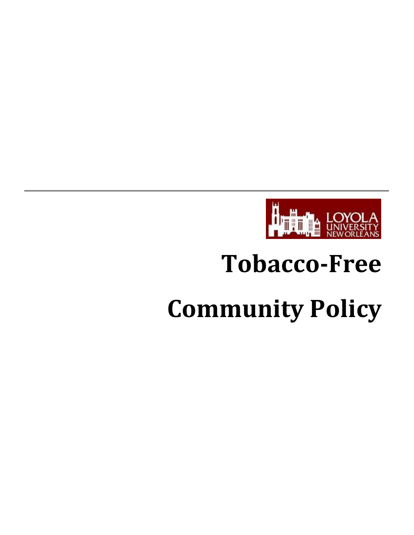

# **Tobacco‐Free**

# **Community Policy**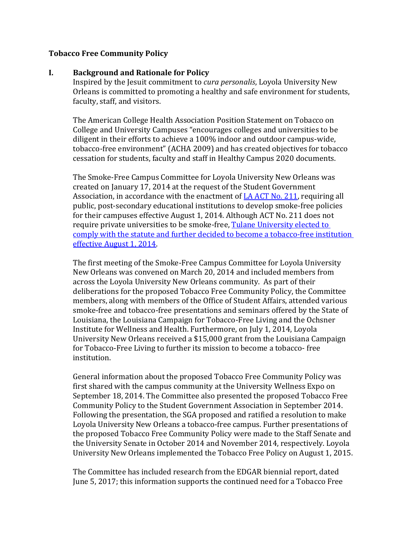#### **Tobacco Free Community Policy**

#### **I. Background and Rationale for Policy**

Inspired by the Jesuit commitment to *cura personalis*, Loyola University New Orleans is committed to promoting a healthy and safe environment for students, faculty, staff, and visitors.

The American College Health Association Position Statement on Tobacco on College and University Campuses "encourages colleges and universities to be diligent in their efforts to achieve a 100% indoor and outdoor campus-wide, tobacco-free environment" (ACHA 2009) and has created objectives for tobacco cessation for students, faculty and staff in Healthy Campus 2020 documents.

The Smoke-Free Campus Committee for Loyola University New Orleans was created on January 17, 2014 at the request of the Student Government Association, in accordance with the enactment of [LA ACT No. 211,](http://www.legis.la.gov/Legis/ViewDocument.aspx?d=857224) requiring all public, post-secondary educational institutions to develop smoke-free policies for their campuses effective August 1, 2014. Although ACT No. 211 does not require private universities to be smoke-free, [Tulane University elected to](https://campushealth.tulane.edu/policies/tobacco-smoke-free-campus-policy)  [comply with the statute and further decided to become a tobacco-free institution](https://campushealth.tulane.edu/policies/tobacco-smoke-free-campus-policy)  [effective August 1, 2014.](https://campushealth.tulane.edu/policies/tobacco-smoke-free-campus-policy)

The first meeting of the Smoke-Free Campus Committee for Loyola University New Orleans was convened on March 20, 2014 and included members from across the Loyola University New Orleans community. As part of their deliberations for the proposed Tobacco Free Community Policy, the Committee members, along with members of the Office of Student Affairs, attended various smoke-free and tobacco-free presentations and seminars offered by the State of Louisiana, the Louisiana Campaign for Tobacco-Free Living and the Ochsner Institute for Wellness and Health. Furthermore, on July 1, 2014, Loyola University New Orleans received a \$15,000 grant from the Louisiana Campaign for Tobacco-Free Living to further its mission to become a tobacco- free institution.

General information about the proposed Tobacco Free Community Policy was first shared with the campus community at the University Wellness Expo on September 18, 2014. The Committee also presented the proposed Tobacco Free Community Policy to the Student Government Association in September 2014. Following the presentation, the SGA proposed and ratified a resolution to make Loyola University New Orleans a tobacco-free campus. Further presentations of the proposed Tobacco Free Community Policy were made to the Staff Senate and the University Senate in October 2014 and November 2014, respectively. Loyola University New Orleans implemented the Tobacco Free Policy on August 1, 2015.

The Committee has included research from the EDGAR biennial report, dated June 5, 2017; this information supports the continued need for a Tobacco Free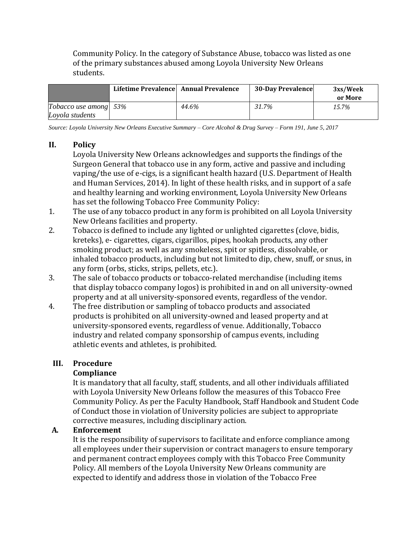Community Policy. In the category of Substance Abuse, tobacco was listed as one of the primary substances abused among Loyola University New Orleans students.

|                                          | Lifetime Prevalence Annual Prevalence |       | <b>30-Day Prevalence</b> | 3xs/Week<br>or More |
|------------------------------------------|---------------------------------------|-------|--------------------------|---------------------|
| Tobacco use among 53%<br>Loyola students |                                       | 44.6% | 31.7%                    | 15.7%               |

*Source: Loyola University New Orleans Executive Summary – Core Alcohol & Drug Survey – Form 191, June 5, 2017*

#### **II. Policy**

Loyola University New Orleans acknowledges and supports the findings of the Surgeon General that tobacco use in any form, active and passive and including vaping/the use of e-cigs, is a significant health hazard (U.S. Department of Health and Human Services, 2014). In light of these health risks, and in support of a safe and healthy learning and working environment, Loyola University New Orleans has set the following Tobacco Free Community Policy:

- 1. The use of any tobacco product in any form is prohibited on all Loyola University New Orleans facilities and property.
- 2. Tobacco is defined to include any lighted or unlighted cigarettes (clove, bidis, kreteks), e- cigarettes, cigars, cigarillos, pipes, hookah products, any other smoking product; as well as any smokeless, spit or spitless, dissolvable, or inhaled tobacco products, including but not limitedto dip, chew, snuff, or snus, in any form (orbs, sticks, strips, pellets, etc.).
- 3. The sale of tobacco products or tobacco-related merchandise (including items that display tobacco company logos) is prohibited in and on all university-owned property and at all university-sponsored events, regardless of the vendor.
- 4. The free distribution or sampling of tobacco products and associated products is prohibited on all university-owned and leased property and at university-sponsored events, regardless of venue. Additionally, Tobacco industry and related company sponsorship of campus events, including athletic events and athletes, is prohibited.

#### **III. Procedure**

# **Compliance**

It is mandatory that all faculty, staff, students, and all other individuals affiliated with Loyola University New Orleans follow the measures of this Tobacco Free Community Policy. As per the Faculty Handbook, Staff Handbook and Student Code of Conduct those in violation of University policies are subject to appropriate corrective measures, including disciplinary action.

#### **A. Enforcement**

It is the responsibility of supervisors to facilitate and enforce compliance among all employees under their supervision or contract managers to ensure temporary and permanent contract employees comply with this Tobacco Free Community Policy. All members of the Loyola University New Orleans community are expected to identify and address those in violation of the Tobacco Free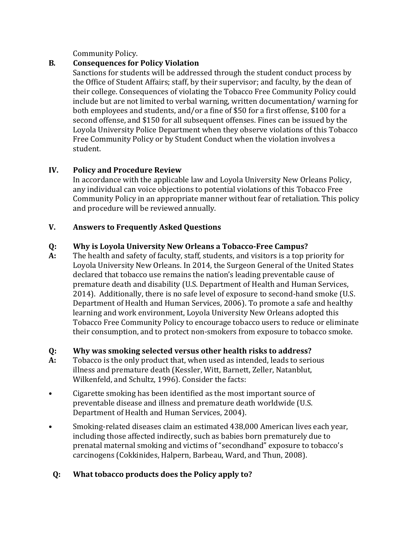Community Policy.

# **B. Consequences for Policy Violation**

Sanctions for students will be addressed through the student conduct process by the Office of Student Affairs; staff, by their supervisor; and faculty, by the dean of their college. Consequences of violating the Tobacco Free Community Policy could include but are not limited to verbal warning, written documentation/ warning for both employees and students, and/or a fine of \$50 for a first offense, \$100 for a second offense, and \$150 for all subsequent offenses. Fines can be issued by the Loyola University Police Department when they observe violations of this Tobacco Free Community Policy or by Student Conduct when the violation involves a student.

# **IV. Policy and Procedure Review**

In accordance with the applicable law and Loyola University New Orleans Policy, any individual can voice objections to potential violations of this Tobacco Free Community Policy in an appropriate manner without fear of retaliation. This policy and procedure will be reviewed annually.

# **V. Answers to Frequently Asked Questions**

# **Q: Why is Loyola University New Orleans a Tobacco‐Free Campus?**

**A:** The health and safety of faculty, staff, students, and visitors is a top priority for Loyola University New Orleans. In 2014, the Surgeon General of the United States declared that tobacco use remains the nation's leading preventable cause of premature death and disability (U.S. Department of Health and Human Services, 2014). Additionally, there is no safe level of exposure to second-hand smoke (U.S. Department of Health and Human Services, 2006). To promote a safe and healthy learning and work environment, Loyola University New Orleans adopted this Tobacco Free Community Policy to encourage tobacco users to reduce or eliminate their consumption, and to protect non-smokers from exposure to tobacco smoke.

# **Q: Why was smoking selected versus other health risks to address?**

- **A:** Tobacco is the only product that, when used as intended, leads to serious illness and premature death (Kessler, Witt, Barnett, Zeller, Natanblut, Wilkenfeld, and Schultz, 1996). Consider the facts:
- Cigarette smoking has been identified as the most important source of preventable disease and illness and premature death worldwide (U.S. Department of Health and Human Services, 2004).
- Smoking-related diseases claim an estimated 438,000 American lives each year, including those affected indirectly, such as babies born prematurely due to prenatal maternal smoking and victims of "secondhand" exposure to tobacco's carcinogens (Cokkinides, Halpern, Barbeau, Ward, and Thun, 2008).

# **Q: What tobacco products does the Policy apply to?**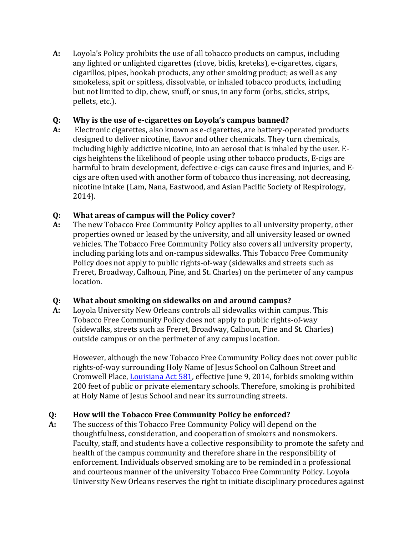**A:** Loyola's Policy prohibits the use of all tobacco products on campus, including any lighted or unlighted cigarettes (clove, bidis, kreteks), e-cigarettes, cigars, cigarillos, pipes, hookah products, any other smoking product; as well as any smokeless, spit or spitless, dissolvable, or inhaled tobacco products, including but not limited to dip, chew, snuff, or snus, in any form (orbs, sticks, strips, pellets, etc.).

# **Q: Why is the use of e‐cigarettes on Loyola's campus banned?**

**A:** Electronic cigarettes, also known as e-cigarettes, are battery-operated products designed to deliver nicotine, flavor and other chemicals. They turn chemicals, including highly addictive nicotine, into an aerosol that is inhaled by the user. Ecigs heightens the likelihood of people using other tobacco products, E-cigs are harmful to brain development, defective e-cigs can cause fires and injuries, and Ecigs are often used with another form of tobacco thus increasing, not decreasing, nicotine intake (Lam, Nana, Eastwood, and Asian Pacific Society of Respirology, 2014).

#### **Q: What areas of campus will the Policy cover?**

**A:** The new Tobacco Free Community Policy applies to all university property, other properties owned or leased by the university, and all university leased or owned vehicles. The Tobacco Free Community Policy also covers all university property, including parking lots and on-campus sidewalks. This Tobacco Free Community Policy does not apply to public rights-of-way (sidewalks and streets such as Freret, Broadway, Calhoun, Pine, and St. Charles) on the perimeter of any campus location.

# **Q: What about smoking on sidewalks on and around campus?**

**A:** Loyola University New Orleans controls all sidewalks within campus. This Tobacco Free Community Policy does not apply to public rights-of-way (sidewalks, streets such as Freret, Broadway, Calhoun, Pine and St. Charles) outside campus or on the perimeter of any campus location.

However, although the new Tobacco Free Community Policy does not cover public rights-of-way surrounding Holy Name of Jesus School on Calhoun Street and Cromwell Place, [Louisiana Act 581,](http://www.legis.la.gov/legis/ViewDocument.aspx?d=913776) effective June 9, 2014, forbids smoking within 200 feet of public or private elementary schools. Therefore, smoking is prohibited at Holy Name of Jesus School and near its surrounding streets.

# **Q: How will the Tobacco Free Community Policy be enforced?**

**A:** The success of this Tobacco Free Community Policy will depend on the thoughtfulness, consideration, and cooperation of smokers and nonsmokers. Faculty, staff, and students have a collective responsibility to promote the safety and health of the campus community and therefore share in the responsibility of enforcement. Individuals observed smoking are to be reminded in a professional and courteous manner of the university Tobacco Free Community Policy. Loyola University New Orleans reserves the right to initiate disciplinary procedures against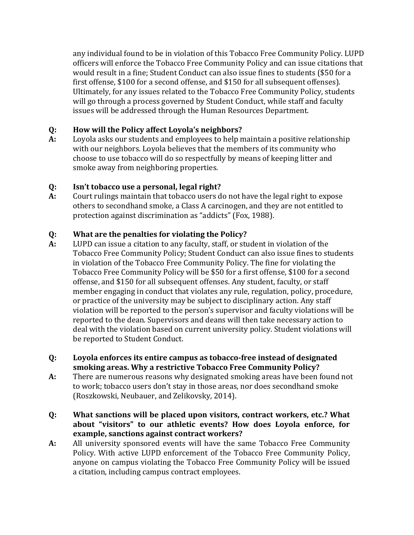any individual found to be in violation of this Tobacco Free Community Policy. LUPD officers will enforce the Tobacco Free Community Policy and can issue citations that would result in a fine; Student Conduct can also issue fines to students (\$50 for a first offense, \$100 for a second offense, and \$150 for all subsequent offenses). Ultimately, for any issues related to the Tobacco Free Community Policy, students will go through a process governed by Student Conduct, while staff and faculty issues will be addressed through the Human Resources Department.

# **Q: How will the Policy affect Loyola's neighbors?**

**A:** Loyola asks our students and employees to help maintain a positive relationship with our neighbors. Loyola believes that the members of its community who choose to use tobacco will do so respectfully by means of keeping litter and smoke away from neighboring properties.

#### **Q: Isn't tobacco use a personal, legal right?**

**A:** Court rulings maintain that tobacco users do not have the legal right to expose others to secondhand smoke, a Class A carcinogen, and they are not entitled to protection against discrimination as "addicts" (Fox, 1988).

#### **Q: What are the penalties for violating the Policy?**

- **A:** LUPD can issue a citation to any faculty, staff, or student in violation of the Tobacco Free Community Policy; Student Conduct can also issue fines to students in violation of the Tobacco Free Community Policy. The fine for violating the Tobacco Free Community Policy will be \$50 for a first offense, \$100 for a second offense, and \$150 for all subsequent offenses. Any student, faculty, or staff member engaging in conduct that violates any rule, regulation, policy, procedure, or practice of the university may be subject to disciplinary action. Any staff violation will be reported to the person's supervisor and faculty violations will be reported to the dean. Supervisors and deans will then take necessary action to deal with the violation based on current university policy. Student violations will be reported to Student Conduct.
- **Q: Loyola enforces its entire campus as tobacco‐free instead of designated smoking areas. Why a restrictive Tobacco Free Community Policy?**
- **A:** There are numerous reasons why designated smoking areas have been found not to work; tobacco users don't stay in those areas, nor does secondhand smoke (Roszkowski, Neubauer, and Zelikovsky, 2014).
- **Q: What sanctions will be placed upon visitors, contract workers, etc.? What about "visitors" to our athletic events? How does Loyola enforce, for example, sanctions against contract workers?**
- **A:** All university sponsored events will have the same Tobacco Free Community Policy. With active LUPD enforcement of the Tobacco Free Community Policy, anyone on campus violating the Tobacco Free Community Policy will be issued a citation, including campus contract employees.